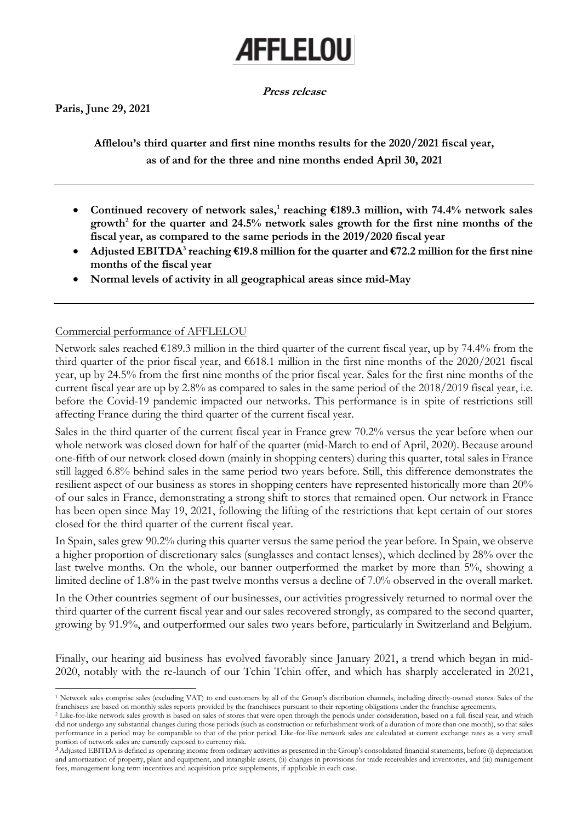# **AFFLELOU**

**Press release**

**Paris, June 29, 2021**

**Afflelou's third quarter and first nine months results for the 2020/2021 fiscal year, as of and for the three and nine months ended April 30, 2021**

- **Continued recovery of network sales, 1 reaching €189.3 million, with 74.4% network sales growth<sup>2</sup> for the quarter and 24.5% network sales growth for the first nine months of the fiscal year, as compared to the same periods in the 2019/2020 fiscal year**
- **Adjusted EBITDA<sup>3</sup> reaching €19.8 million for the quarter and €72.2 million for the first nine months of the fiscal year**
- **Normal levels of activity in all geographical areas since mid-May**

Commercial performance of AFFLELOU

Network sales reached €189.3 million in the third quarter of the current fiscal year, up by 74.4% from the third quarter of the prior fiscal year, and  $\epsilon$ 618.1 million in the first nine months of the 2020/2021 fiscal year, up by 24.5% from the first nine months of the prior fiscal year. Sales for the first nine months of the current fiscal year are up by 2.8% as compared to sales in the same period of the 2018/2019 fiscal year, i.e. before the Covid-19 pandemic impacted our networks. This performance is in spite of restrictions still affecting France during the third quarter of the current fiscal year.

Sales in the third quarter of the current fiscal year in France grew 70.2% versus the year before when our whole network was closed down for half of the quarter (mid-March to end of April, 2020). Because around one-fifth of our network closed down (mainly in shopping centers) during this quarter, total sales in France still lagged 6.8% behind sales in the same period two years before. Still, this difference demonstrates the resilient aspect of our business as stores in shopping centers have represented historically more than 20% of our sales in France, demonstrating a strong shift to stores that remained open. Our network in France has been open since May 19, 2021, following the lifting of the restrictions that kept certain of our stores closed for the third quarter of the current fiscal year.

In Spain, sales grew 90.2% during this quarter versus the same period the year before. In Spain, we observe a higher proportion of discretionary sales (sunglasses and contact lenses), which declined by 28% over the last twelve months. On the whole, our banner outperformed the market by more than 5%, showing a limited decline of 1.8% in the past twelve months versus a decline of 7.0% observed in the overall market.

In the Other countries segment of our businesses, our activities progressively returned to normal over the third quarter of the current fiscal year and our sales recovered strongly, as compared to the second quarter, growing by 91.9%, and outperformed our sales two years before, particularly in Switzerland and Belgium.

Finally, our hearing aid business has evolved favorably since January 2021, a trend which began in mid-2020, notably with the re-launch of our Tchin Tchin offer, and which has sharply accelerated in 2021,

<sup>1</sup> Network sales comprise sales (excluding VAT) to end customers by all of the Group's distribution channels, including directly-owned stores. Sales of the franchisees are based on monthly sales reports provided by the franchisees pursuant to their reporting obligations under the franchise agreements.

<sup>&</sup>lt;sup>2</sup> Like-for-like network sales growth is based on sales of stores that were open through the periods under consideration, based on a full fiscal year, and which did not undergo any substantial changes during those periods (such as construction or refurbishment work of a duration of more than one month), so that sales performance in a period may be comparable to that of the prior period. Like-for-like network sales are calculated at current exchange rates as a very small portion of network sales are currently exposed to currency risk.

**<sup>3</sup>** Adjusted EBITDA is defined as operating income from ordinary activities as presented in the Group's consolidated financial statements, before (i) depreciation and amortization of property, plant and equipment, and intangible assets, (ii) changes in provisions for trade receivables and inventories, and (iii) management fees, management long term incentives and acquisition price supplements, if applicable in each case.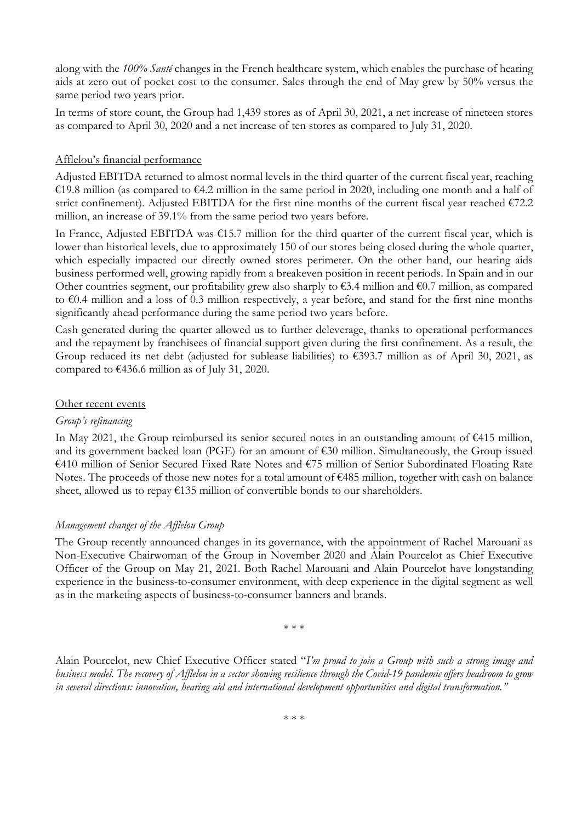along with the *100% Santé* changes in the French healthcare system, which enables the purchase of hearing aids at zero out of pocket cost to the consumer. Sales through the end of May grew by 50% versus the same period two years prior.

In terms of store count, the Group had 1,439 stores as of April 30, 2021, a net increase of nineteen stores as compared to April 30, 2020 and a net increase of ten stores as compared to July 31, 2020.

## Afflelou's financial performance

Adjusted EBITDA returned to almost normal levels in the third quarter of the current fiscal year, reaching €19.8 million (as compared to €4.2 million in the same period in 2020, including one month and a half of strict confinement). Adjusted EBITDA for the first nine months of the current fiscal year reached  $\epsilon$ 72.2 million, an increase of 39.1% from the same period two years before.

In France, Adjusted EBITDA was €15.7 million for the third quarter of the current fiscal year, which is lower than historical levels, due to approximately 150 of our stores being closed during the whole quarter, which especially impacted our directly owned stores perimeter. On the other hand, our hearing aids business performed well, growing rapidly from a breakeven position in recent periods. In Spain and in our Other countries segment, our profitability grew also sharply to  $\epsilon$ 3.4 million and  $\epsilon$ 0.7 million, as compared to €0.4 million and a loss of 0.3 million respectively, a year before, and stand for the first nine months significantly ahead performance during the same period two years before.

Cash generated during the quarter allowed us to further deleverage, thanks to operational performances and the repayment by franchisees of financial support given during the first confinement. As a result, the Group reduced its net debt (adjusted for sublease liabilities) to  $\epsilon$ 393.7 million as of April 30, 2021, as compared to €436.6 million as of July 31, 2020.

### Other recent events

### *Group's refinancing*

In May 2021, the Group reimbursed its senior secured notes in an outstanding amount of €415 million, and its government backed loan (PGE) for an amount of €30 million. Simultaneously, the Group issued €410 million of Senior Secured Fixed Rate Notes and €75 million of Senior Subordinated Floating Rate Notes. The proceeds of those new notes for a total amount of  $\epsilon$ 485 million, together with cash on balance sheet, allowed us to repay  $\epsilon$ 135 million of convertible bonds to our shareholders.

## *Management changes of the Afflelou Group*

The Group recently announced changes in its governance, with the appointment of Rachel Marouani as Non-Executive Chairwoman of the Group in November 2020 and Alain Pourcelot as Chief Executive Officer of the Group on May 21, 2021. Both Rachel Marouani and Alain Pourcelot have longstanding experience in the business-to-consumer environment, with deep experience in the digital segment as well as in the marketing aspects of business-to-consumer banners and brands.

\* \* \*

Alain Pourcelot, new Chief Executive Officer stated "*I'm proud to join a Group with such a strong image and business model. The recovery of Afflelou in a sector showing resilience through the Covid-19 pandemic offers headroom to grow in several directions: innovation, hearing aid and international development opportunities and digital transformation."*

\* \* \*